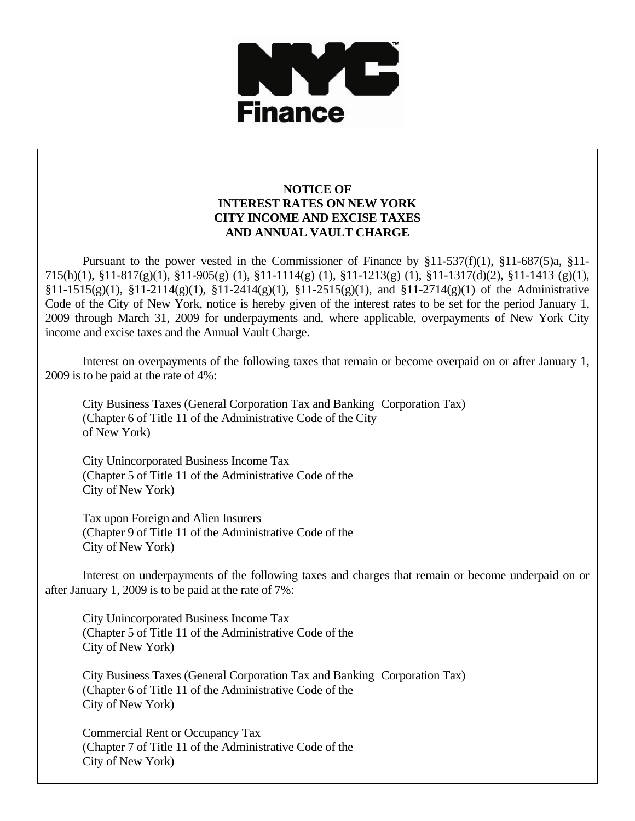

## **NOTICE OF INTEREST RATES ON NEW YORK CITY INCOME AND EXCISE TAXES AND ANNUAL VAULT CHARGE**

 Pursuant to the power vested in the Commissioner of Finance by §11-537(f)(1), §11-687(5)a, §11- 715(h)(1), §11-817(g)(1), §11-905(g) (1), §11-1114(g) (1), §11-1213(g) (1), §11-1317(d)(2), §11-1413 (g)(1),  $$11-1515(g)(1), $11-2114(g)(1), $11-2414(g)(1), $11-2515(g)(1), and $11-2714(g)(1)$  of the Administrative Code of the City of New York, notice is hereby given of the interest rates to be set for the period January 1, 2009 through March 31, 2009 for underpayments and, where applicable, overpayments of New York City income and excise taxes and the Annual Vault Charge.

 Interest on overpayments of the following taxes that remain or become overpaid on or after January 1, 2009 is to be paid at the rate of 4%:

 City Business Taxes (General Corporation Tax and Banking Corporation Tax) (Chapter 6 of Title 11 of the Administrative Code of the City of New York)

 City Unincorporated Business Income Tax (Chapter 5 of Title 11 of the Administrative Code of the City of New York)

 Tax upon Foreign and Alien Insurers (Chapter 9 of Title 11 of the Administrative Code of the City of New York)

 Interest on underpayments of the following taxes and charges that remain or become underpaid on or after January 1, 2009 is to be paid at the rate of 7%:

 City Unincorporated Business Income Tax (Chapter 5 of Title 11 of the Administrative Code of the City of New York)

 City Business Taxes (General Corporation Tax and Banking Corporation Tax) (Chapter 6 of Title 11 of the Administrative Code of the City of New York)

 Commercial Rent or Occupancy Tax (Chapter 7 of Title 11 of the Administrative Code of the City of New York)